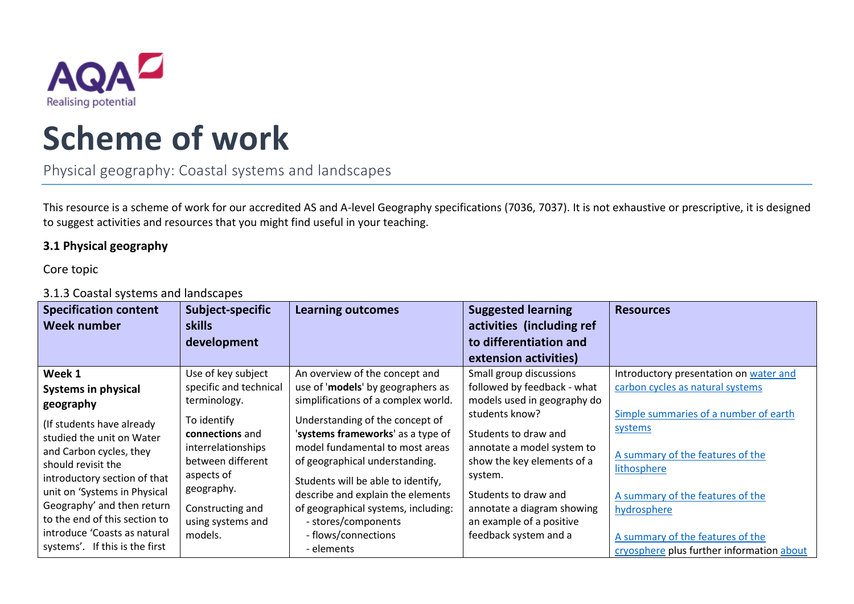

## **Scheme of work**

Physical geography: Coastal systems and landscapes

This resource is a scheme of work for our accredited AS and A-level Geography specifications (7036, 7037). It is not exhaustive or prescriptive, it is designed to suggest activities and resources that you might find useful in your teaching.

## **3.1 Physical geography**

Core topic

## 3.1.3 Coastal systems and landscapes

| <b>Specification content</b><br>Week number | Subject-specific<br><b>skills</b> | <b>Learning outcomes</b>            | <b>Suggested learning</b><br>activities (including ref | <b>Resources</b>                                |
|---------------------------------------------|-----------------------------------|-------------------------------------|--------------------------------------------------------|-------------------------------------------------|
|                                             | development                       |                                     | to differentiation and                                 |                                                 |
|                                             |                                   |                                     | extension activities)                                  |                                                 |
| Week 1                                      | Use of key subject                | An overview of the concept and      | Small group discussions                                | Introductory presentation on water and          |
| <b>Systems in physical</b>                  | specific and technical            | use of 'models' by geographers as   | followed by feedback - what                            | carbon cycles as natural systems                |
| geography                                   | terminology.                      | simplifications of a complex world. | models used in geography do                            |                                                 |
| (If students have already                   | To identify                       | Understanding of the concept of     | students know?                                         | Simple summaries of a number of earth           |
| studied the unit on Water                   | connections and                   | 'systems frameworks' as a type of   | Students to draw and                                   | systems                                         |
| and Carbon cycles, they                     | interrelationships                | model fundamental to most areas     | annotate a model system to                             |                                                 |
| should revisit the                          | between different                 | of geographical understanding.      | show the key elements of a                             | A summary of the features of the<br>lithosphere |
| introductory section of that                | aspects of                        | Students will be able to identify,  | system.                                                |                                                 |
| unit on 'Systems in Physical                | geography.                        | describe and explain the elements   | Students to draw and                                   | A summary of the features of the                |
| Geography' and then return                  | Constructing and                  | of geographical systems, including: | annotate a diagram showing                             | hydrosphere                                     |
| to the end of this section to               | using systems and                 | - stores/components                 | an example of a positive                               |                                                 |
| introduce 'Coasts as natural                | models.                           | - flows/connections                 | feedback system and a                                  | A summary of the features of the                |
| systems'. If this is the first              |                                   | - elements                          |                                                        | cryosphere plus further information about       |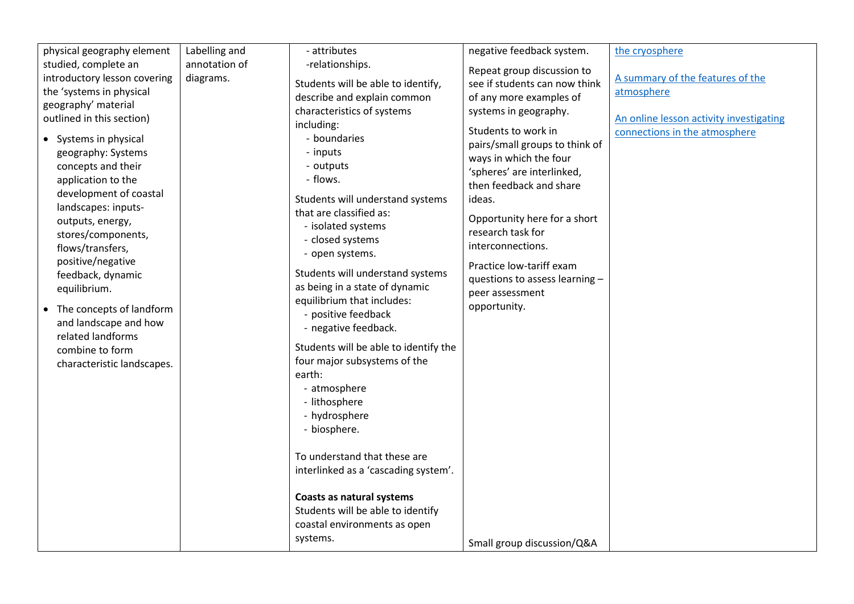| physical geography element                                                                                                                                                                                                                                                                                                                                                                                                                        | Labelling and | - attributes                                                                                                                                                                                                                                                                                                                                                                                                                                                                                                                                                                                                                                                                                                            | negative feedback system.                                                                                                                                                                                                                                                                                                                                                            | the cryosphere                                                           |
|---------------------------------------------------------------------------------------------------------------------------------------------------------------------------------------------------------------------------------------------------------------------------------------------------------------------------------------------------------------------------------------------------------------------------------------------------|---------------|-------------------------------------------------------------------------------------------------------------------------------------------------------------------------------------------------------------------------------------------------------------------------------------------------------------------------------------------------------------------------------------------------------------------------------------------------------------------------------------------------------------------------------------------------------------------------------------------------------------------------------------------------------------------------------------------------------------------------|--------------------------------------------------------------------------------------------------------------------------------------------------------------------------------------------------------------------------------------------------------------------------------------------------------------------------------------------------------------------------------------|--------------------------------------------------------------------------|
| studied, complete an                                                                                                                                                                                                                                                                                                                                                                                                                              | annotation of | -relationships.                                                                                                                                                                                                                                                                                                                                                                                                                                                                                                                                                                                                                                                                                                         |                                                                                                                                                                                                                                                                                                                                                                                      |                                                                          |
| introductory lesson covering                                                                                                                                                                                                                                                                                                                                                                                                                      | diagrams.     |                                                                                                                                                                                                                                                                                                                                                                                                                                                                                                                                                                                                                                                                                                                         | Repeat group discussion to                                                                                                                                                                                                                                                                                                                                                           | A summary of the features of the                                         |
| the 'systems in physical                                                                                                                                                                                                                                                                                                                                                                                                                          |               | Students will be able to identify,                                                                                                                                                                                                                                                                                                                                                                                                                                                                                                                                                                                                                                                                                      | see if students can now think                                                                                                                                                                                                                                                                                                                                                        | atmosphere                                                               |
|                                                                                                                                                                                                                                                                                                                                                                                                                                                   |               | describe and explain common                                                                                                                                                                                                                                                                                                                                                                                                                                                                                                                                                                                                                                                                                             | of any more examples of                                                                                                                                                                                                                                                                                                                                                              |                                                                          |
|                                                                                                                                                                                                                                                                                                                                                                                                                                                   |               |                                                                                                                                                                                                                                                                                                                                                                                                                                                                                                                                                                                                                                                                                                                         |                                                                                                                                                                                                                                                                                                                                                                                      |                                                                          |
| geography' material<br>outlined in this section)<br>• Systems in physical<br>geography: Systems<br>concepts and their<br>application to the<br>development of coastal<br>landscapes: inputs-<br>outputs, energy,<br>stores/components,<br>flows/transfers,<br>positive/negative<br>feedback, dynamic<br>equilibrium.<br>• The concepts of landform<br>and landscape and how<br>related landforms<br>combine to form<br>characteristic landscapes. |               | characteristics of systems<br>including:<br>- boundaries<br>- inputs<br>- outputs<br>- flows.<br>Students will understand systems<br>that are classified as:<br>- isolated systems<br>- closed systems<br>- open systems.<br>Students will understand systems<br>as being in a state of dynamic<br>equilibrium that includes:<br>- positive feedback<br>- negative feedback.<br>Students will be able to identify the<br>four major subsystems of the<br>earth:<br>- atmosphere<br>- lithosphere<br>- hydrosphere<br>- biosphere.<br>To understand that these are<br>interlinked as a 'cascading system'.<br>Coasts as natural systems<br>Students will be able to identify<br>coastal environments as open<br>systems. | systems in geography.<br>Students to work in<br>pairs/small groups to think of<br>ways in which the four<br>'spheres' are interlinked,<br>then feedback and share<br>ideas.<br>Opportunity here for a short<br>research task for<br>interconnections.<br>Practice low-tariff exam<br>questions to assess learning -<br>peer assessment<br>opportunity.<br>Small group discussion/Q&A | An online lesson activity investigating<br>connections in the atmosphere |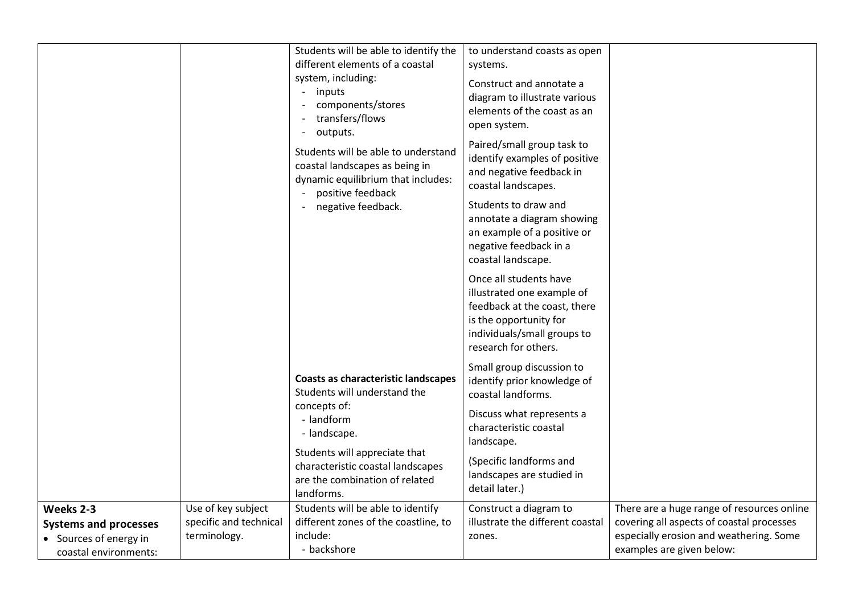|                                                                                              |                                                              | Students will be able to identify the<br>different elements of a coastal<br>system, including:<br>inputs<br>components/stores<br>transfers/flows<br>outputs.<br>Students will be able to understand<br>coastal landscapes as being in<br>dynamic equilibrium that includes:<br>positive feedback<br>negative feedback. | to understand coasts as open<br>systems.<br>Construct and annotate a<br>diagram to illustrate various<br>elements of the coast as an<br>open system.<br>Paired/small group task to<br>identify examples of positive<br>and negative feedback in<br>coastal landscapes.<br>Students to draw and<br>annotate a diagram showing<br>an example of a positive or<br>negative feedback in a<br>coastal landscape.<br>Once all students have<br>illustrated one example of<br>feedback at the coast, there<br>is the opportunity for<br>individuals/small groups to<br>research for others. |                                                                                                                                                                 |
|----------------------------------------------------------------------------------------------|--------------------------------------------------------------|------------------------------------------------------------------------------------------------------------------------------------------------------------------------------------------------------------------------------------------------------------------------------------------------------------------------|--------------------------------------------------------------------------------------------------------------------------------------------------------------------------------------------------------------------------------------------------------------------------------------------------------------------------------------------------------------------------------------------------------------------------------------------------------------------------------------------------------------------------------------------------------------------------------------|-----------------------------------------------------------------------------------------------------------------------------------------------------------------|
|                                                                                              |                                                              | <b>Coasts as characteristic landscapes</b><br>Students will understand the<br>concepts of:<br>- landform<br>- landscape.                                                                                                                                                                                               | Small group discussion to<br>identify prior knowledge of<br>coastal landforms.<br>Discuss what represents a<br>characteristic coastal                                                                                                                                                                                                                                                                                                                                                                                                                                                |                                                                                                                                                                 |
|                                                                                              |                                                              | Students will appreciate that<br>characteristic coastal landscapes<br>are the combination of related<br>landforms.                                                                                                                                                                                                     | landscape.<br>(Specific landforms and<br>landscapes are studied in<br>detail later.)                                                                                                                                                                                                                                                                                                                                                                                                                                                                                                 |                                                                                                                                                                 |
| Weeks 2-3<br><b>Systems and processes</b><br>• Sources of energy in<br>coastal environments: | Use of key subject<br>specific and technical<br>terminology. | Students will be able to identify<br>different zones of the coastline, to<br>include:<br>- backshore                                                                                                                                                                                                                   | Construct a diagram to<br>illustrate the different coastal<br>zones.                                                                                                                                                                                                                                                                                                                                                                                                                                                                                                                 | There are a huge range of resources online<br>covering all aspects of coastal processes<br>especially erosion and weathering. Some<br>examples are given below: |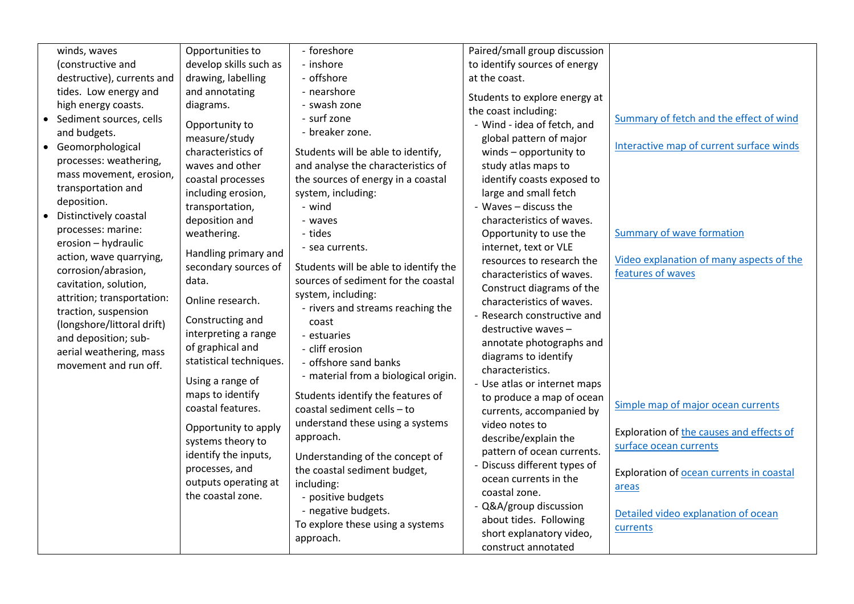| winds, waves                                     | Opportunities to        | - foreshore                           | Paired/small group discussion |                                          |
|--------------------------------------------------|-------------------------|---------------------------------------|-------------------------------|------------------------------------------|
| (constructive and                                | develop skills such as  | - inshore                             | to identify sources of energy |                                          |
| destructive), currents and                       | drawing, labelling      | - offshore                            | at the coast.                 |                                          |
| tides. Low energy and                            | and annotating          | - nearshore                           | Students to explore energy at |                                          |
| high energy coasts.                              | diagrams.               | - swash zone                          | the coast including:          |                                          |
| Sediment sources, cells                          | Opportunity to          | - surf zone                           | - Wind - idea of fetch, and   | Summary of fetch and the effect of wind  |
| and budgets.                                     | measure/study           | - breaker zone.                       | global pattern of major       |                                          |
| Geomorphological<br>$\bullet$                    | characteristics of      |                                       |                               | Interactive map of current surface winds |
| processes: weathering,                           | waves and other         | Students will be able to identify,    | winds - opportunity to        |                                          |
| mass movement, erosion,                          |                         | and analyse the characteristics of    | study atlas maps to           |                                          |
| transportation and                               | coastal processes       | the sources of energy in a coastal    | identify coasts exposed to    |                                          |
| deposition.                                      | including erosion,      | system, including:                    | large and small fetch         |                                          |
| Distinctively coastal                            | transportation,         | - wind                                | - Waves - discuss the         |                                          |
| processes: marine:                               | deposition and          | - waves                               | characteristics of waves.     |                                          |
| erosion - hydraulic                              | weathering.             | - tides                               | Opportunity to use the        | Summary of wave formation                |
| action, wave quarrying,                          | Handling primary and    | - sea currents.                       | internet, text or VLE         |                                          |
| corrosion/abrasion,                              | secondary sources of    | Students will be able to identify the | resources to research the     | Video explanation of many aspects of the |
| cavitation, solution,                            | data.                   | sources of sediment for the coastal   | characteristics of waves.     | features of waves                        |
| attrition; transportation:                       |                         | system, including:                    | Construct diagrams of the     |                                          |
| traction, suspension                             | Online research.        | - rivers and streams reaching the     | characteristics of waves.     |                                          |
| (longshore/littoral drift)                       | Constructing and        | coast                                 | - Research constructive and   |                                          |
| and deposition; sub-                             | interpreting a range    | - estuaries                           | destructive waves -           |                                          |
|                                                  | of graphical and        | - cliff erosion                       | annotate photographs and      |                                          |
| aerial weathering, mass<br>movement and run off. | statistical techniques. | - offshore sand banks                 | diagrams to identify          |                                          |
|                                                  |                         | - material from a biological origin.  | characteristics.              |                                          |
|                                                  | Using a range of        |                                       | - Use atlas or internet maps  |                                          |
|                                                  | maps to identify        | Students identify the features of     | to produce a map of ocean     | Simple map of major ocean currents       |
|                                                  | coastal features.       | coastal sediment cells - to           | currents, accompanied by      |                                          |
|                                                  | Opportunity to apply    | understand these using a systems      | video notes to                | Exploration of the causes and effects of |
|                                                  | systems theory to       | approach.                             | describe/explain the          | surface ocean currents                   |
|                                                  | identify the inputs,    | Understanding of the concept of       | pattern of ocean currents.    |                                          |
|                                                  | processes, and          | the coastal sediment budget,          | - Discuss different types of  |                                          |
|                                                  | outputs operating at    | including:                            | ocean currents in the         | Exploration of ocean currents in coastal |
|                                                  | the coastal zone.       | - positive budgets                    | coastal zone.                 | areas                                    |
|                                                  |                         | - negative budgets.                   | - Q&A/group discussion        |                                          |
|                                                  |                         | To explore these using a systems      | about tides. Following        | Detailed video explanation of ocean      |
|                                                  |                         | approach.                             | short explanatory video,      | currents                                 |
|                                                  |                         |                                       | construct annotated           |                                          |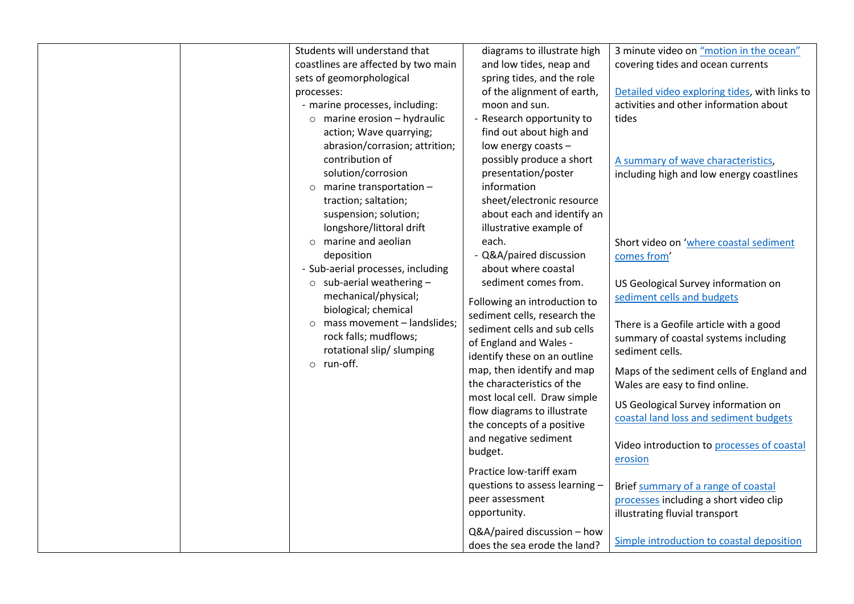| Students will understand that<br>coastlines are affected by two main<br>sets of geomorphological<br>processes:<br>- marine processes, including:<br>$\circ$ marine erosion - hydraulic<br>action; Wave quarrying;<br>abrasion/corrasion; attrition;<br>contribution of<br>solution/corrosion<br>$\circ$ marine transportation -<br>traction; saltation;<br>suspension; solution;<br>longshore/littoral drift<br>$\circ$ marine and aeolian<br>deposition<br>- Sub-aerial processes, including<br>$\circ$ sub-aerial weathering -<br>mechanical/physical;<br>biological; chemical<br>mass movement - landslides;<br>$\circ$<br>rock falls; mudflows;<br>rotational slip/ slumping<br>o run-off. | diagrams to illustrate high<br>and low tides, neap and<br>spring tides, and the role<br>of the alignment of earth,<br>moon and sun.<br>- Research opportunity to<br>find out about high and<br>low energy coasts -<br>possibly produce a short<br>presentation/poster<br>information<br>sheet/electronic resource<br>about each and identify an<br>illustrative example of<br>each.<br>- Q&A/paired discussion<br>about where coastal<br>sediment comes from.<br>Following an introduction to<br>sediment cells, research the<br>sediment cells and sub cells<br>of England and Wales -<br>identify these on an outline<br>map, then identify and map<br>the characteristics of the<br>most local cell. Draw simple<br>flow diagrams to illustrate<br>the concepts of a positive<br>and negative sediment | 3 minute video on "motion in the ocean"<br>covering tides and ocean currents<br>Detailed video exploring tides, with links to<br>activities and other information about<br>tides<br>A summary of wave characteristics,<br>including high and low energy coastlines<br>Short video on 'where coastal sediment<br>comes from<br>US Geological Survey information on<br>sediment cells and budgets<br>There is a Geofile article with a good<br>summary of coastal systems including<br>sediment cells.<br>Maps of the sediment cells of England and<br>Wales are easy to find online.<br>US Geological Survey information on<br>coastal land loss and sediment budgets<br>Video introduction to processes of coastal |
|------------------------------------------------------------------------------------------------------------------------------------------------------------------------------------------------------------------------------------------------------------------------------------------------------------------------------------------------------------------------------------------------------------------------------------------------------------------------------------------------------------------------------------------------------------------------------------------------------------------------------------------------------------------------------------------------|-----------------------------------------------------------------------------------------------------------------------------------------------------------------------------------------------------------------------------------------------------------------------------------------------------------------------------------------------------------------------------------------------------------------------------------------------------------------------------------------------------------------------------------------------------------------------------------------------------------------------------------------------------------------------------------------------------------------------------------------------------------------------------------------------------------|--------------------------------------------------------------------------------------------------------------------------------------------------------------------------------------------------------------------------------------------------------------------------------------------------------------------------------------------------------------------------------------------------------------------------------------------------------------------------------------------------------------------------------------------------------------------------------------------------------------------------------------------------------------------------------------------------------------------|
|                                                                                                                                                                                                                                                                                                                                                                                                                                                                                                                                                                                                                                                                                                |                                                                                                                                                                                                                                                                                                                                                                                                                                                                                                                                                                                                                                                                                                                                                                                                           |                                                                                                                                                                                                                                                                                                                                                                                                                                                                                                                                                                                                                                                                                                                    |
|                                                                                                                                                                                                                                                                                                                                                                                                                                                                                                                                                                                                                                                                                                | budget.<br>Practice low-tariff exam<br>questions to assess learning -<br>peer assessment                                                                                                                                                                                                                                                                                                                                                                                                                                                                                                                                                                                                                                                                                                                  | erosion<br>Brief summary of a range of coastal<br>processes including a short video clip                                                                                                                                                                                                                                                                                                                                                                                                                                                                                                                                                                                                                           |
|                                                                                                                                                                                                                                                                                                                                                                                                                                                                                                                                                                                                                                                                                                | opportunity.<br>Q&A/paired discussion - how<br>does the sea erode the land?                                                                                                                                                                                                                                                                                                                                                                                                                                                                                                                                                                                                                                                                                                                               | illustrating fluvial transport<br>Simple introduction to coastal deposition                                                                                                                                                                                                                                                                                                                                                                                                                                                                                                                                                                                                                                        |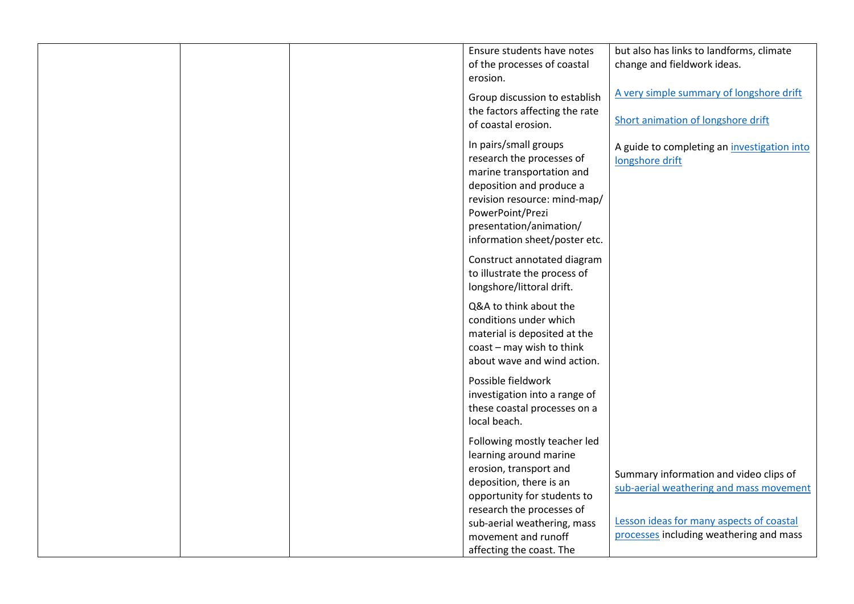|  | Ensure students have notes                                      | but also has links to landforms, climate    |
|--|-----------------------------------------------------------------|---------------------------------------------|
|  | of the processes of coastal                                     | change and fieldwork ideas.                 |
|  | erosion.                                                        |                                             |
|  |                                                                 | A very simple summary of longshore drift    |
|  | Group discussion to establish<br>the factors affecting the rate |                                             |
|  | of coastal erosion.                                             | Short animation of longshore drift          |
|  |                                                                 |                                             |
|  | In pairs/small groups                                           | A guide to completing an investigation into |
|  | research the processes of<br>marine transportation and          | longshore drift                             |
|  | deposition and produce a                                        |                                             |
|  | revision resource: mind-map/                                    |                                             |
|  | PowerPoint/Prezi                                                |                                             |
|  | presentation/animation/                                         |                                             |
|  | information sheet/poster etc.                                   |                                             |
|  | Construct annotated diagram                                     |                                             |
|  | to illustrate the process of                                    |                                             |
|  | longshore/littoral drift.                                       |                                             |
|  | Q&A to think about the                                          |                                             |
|  | conditions under which                                          |                                             |
|  | material is deposited at the                                    |                                             |
|  | coast - may wish to think                                       |                                             |
|  | about wave and wind action.                                     |                                             |
|  | Possible fieldwork                                              |                                             |
|  | investigation into a range of                                   |                                             |
|  | these coastal processes on a                                    |                                             |
|  | local beach.                                                    |                                             |
|  | Following mostly teacher led                                    |                                             |
|  | learning around marine                                          |                                             |
|  | erosion, transport and                                          | Summary information and video clips of      |
|  | deposition, there is an<br>opportunity for students to          | sub-aerial weathering and mass movement     |
|  | research the processes of                                       |                                             |
|  | sub-aerial weathering, mass                                     | Lesson ideas for many aspects of coastal    |
|  | movement and runoff                                             | processes including weathering and mass     |
|  | affecting the coast. The                                        |                                             |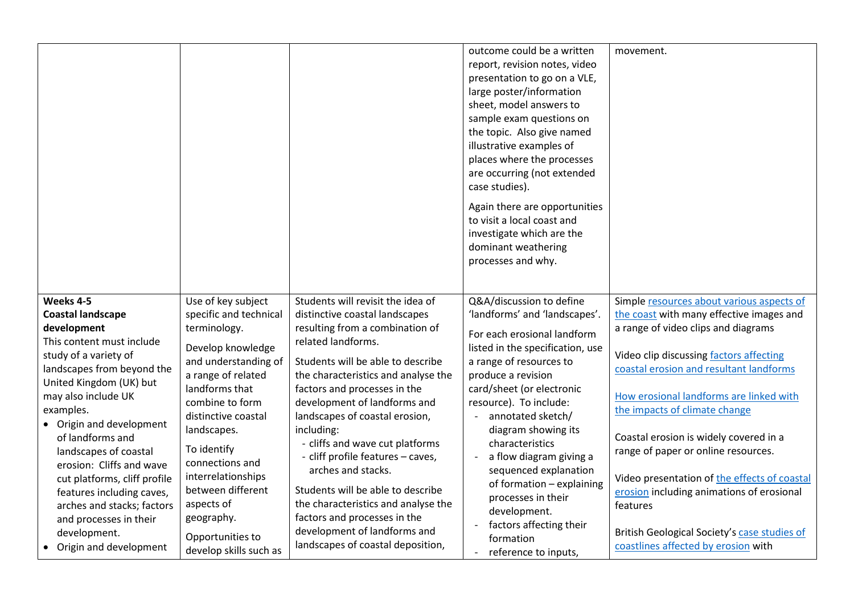|                                                                                                                     |                                                                          |                                                                                                   | outcome could be a written<br>report, revision notes, video<br>presentation to go on a VLE,<br>large poster/information<br>sheet, model answers to<br>sample exam questions on<br>the topic. Also give named<br>illustrative examples of<br>places where the processes<br>are occurring (not extended<br>case studies).<br>Again there are opportunities<br>to visit a local coast and<br>investigate which are the<br>dominant weathering<br>processes and why. | movement.                                                                                             |
|---------------------------------------------------------------------------------------------------------------------|--------------------------------------------------------------------------|---------------------------------------------------------------------------------------------------|------------------------------------------------------------------------------------------------------------------------------------------------------------------------------------------------------------------------------------------------------------------------------------------------------------------------------------------------------------------------------------------------------------------------------------------------------------------|-------------------------------------------------------------------------------------------------------|
| Weeks 4-5<br><b>Coastal landscape</b>                                                                               | Use of key subject<br>specific and technical                             | Students will revisit the idea of<br>distinctive coastal landscapes                               | Q&A/discussion to define<br>'landforms' and 'landscapes'.                                                                                                                                                                                                                                                                                                                                                                                                        | Simple resources about various aspects of<br>the coast with many effective images and                 |
| development<br>This content must include                                                                            | terminology.<br>Develop knowledge                                        | resulting from a combination of<br>related landforms.                                             | For each erosional landform<br>listed in the specification, use                                                                                                                                                                                                                                                                                                                                                                                                  | a range of video clips and diagrams                                                                   |
| study of a variety of<br>landscapes from beyond the                                                                 | and understanding of<br>a range of related                               | Students will be able to describe<br>the characteristics and analyse the                          | a range of resources to<br>produce a revision                                                                                                                                                                                                                                                                                                                                                                                                                    | Video clip discussing factors affecting<br>coastal erosion and resultant landforms                    |
| United Kingdom (UK) but<br>may also include UK<br>examples.<br>• Origin and development                             | landforms that<br>combine to form<br>distinctive coastal                 | factors and processes in the<br>development of landforms and<br>landscapes of coastal erosion,    | card/sheet (or electronic<br>resource). To include:<br>annotated sketch/                                                                                                                                                                                                                                                                                                                                                                                         | How erosional landforms are linked with<br>the impacts of climate change                              |
| of landforms and<br>landscapes of coastal                                                                           | landscapes.<br>To identify                                               | including:<br>- cliffs and wave cut platforms<br>- cliff profile features - caves,                | diagram showing its<br>characteristics<br>a flow diagram giving a<br>$\blacksquare$                                                                                                                                                                                                                                                                                                                                                                              | Coastal erosion is widely covered in a<br>range of paper or online resources.                         |
| erosion: Cliffs and wave<br>cut platforms, cliff profile<br>features including caves,<br>arches and stacks; factors | connections and<br>interrelationships<br>between different<br>aspects of | arches and stacks.<br>Students will be able to describe<br>the characteristics and analyse the    | sequenced explanation<br>of formation - explaining<br>processes in their                                                                                                                                                                                                                                                                                                                                                                                         | Video presentation of the effects of coastal<br>erosion including animations of erosional<br>features |
| and processes in their<br>development.<br>Origin and development                                                    | geography.<br>Opportunities to<br>develop skills such as                 | factors and processes in the<br>development of landforms and<br>landscapes of coastal deposition, | development.<br>factors affecting their<br>formation<br>reference to inputs,                                                                                                                                                                                                                                                                                                                                                                                     | British Geological Society's case studies of<br>coastlines affected by erosion with                   |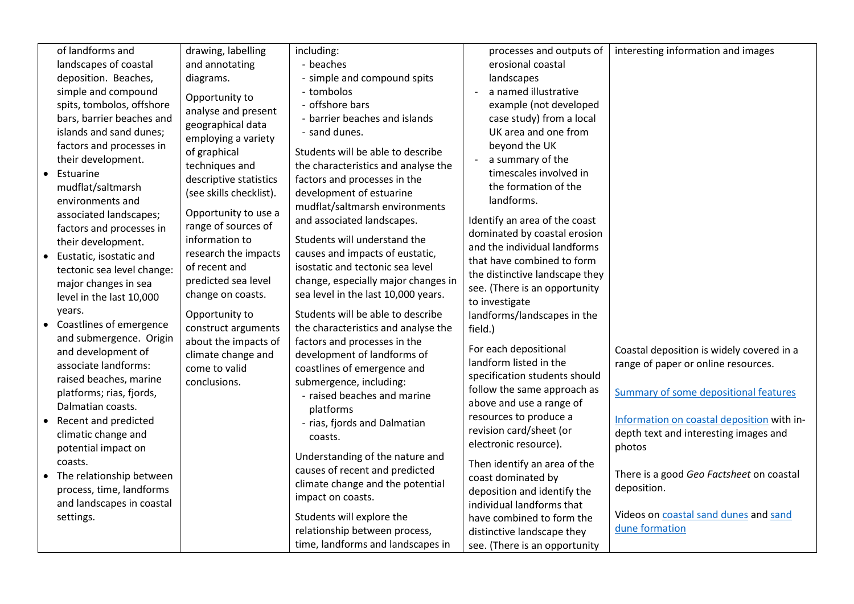| of landforms and<br>landscapes of coastal<br>deposition. Beaches,<br>simple and compound<br>spits, tombolos, offshore<br>bars, barrier beaches and<br>islands and sand dunes;<br>factors and processes in<br>their development.<br>Estuarine<br>mudflat/saltmarsh<br>environments and<br>associated landscapes;<br>factors and processes in<br>their development.<br>Eustatic, isostatic and<br>tectonic sea level change:<br>major changes in sea<br>level in the last 10,000<br>years.<br>Coastlines of emergence<br>and submergence. Origin<br>and development of<br>associate landforms:<br>raised beaches, marine<br>platforms; rias, fjords,<br>Dalmatian coasts.<br>Recent and predicted<br>climatic change and<br>potential impact on<br>coasts.<br>The relationship between<br>process, time, landforms<br>and landscapes in coastal<br>settings. | drawing, labelling<br>and annotating<br>diagrams.<br>Opportunity to<br>analyse and present<br>geographical data<br>employing a variety<br>of graphical<br>techniques and<br>descriptive statistics<br>(see skills checklist).<br>Opportunity to use a<br>range of sources of<br>information to<br>research the impacts<br>of recent and<br>predicted sea level<br>change on coasts.<br>Opportunity to<br>construct arguments<br>about the impacts of<br>climate change and<br>come to valid<br>conclusions. | including:<br>- beaches<br>- simple and compound spits<br>- tombolos<br>- offshore bars<br>- barrier beaches and islands<br>- sand dunes.<br>Students will be able to describe<br>the characteristics and analyse the<br>factors and processes in the<br>development of estuarine<br>mudflat/saltmarsh environments<br>and associated landscapes.<br>Students will understand the<br>causes and impacts of eustatic,<br>isostatic and tectonic sea level<br>change, especially major changes in<br>sea level in the last 10,000 years.<br>Students will be able to describe<br>the characteristics and analyse the<br>factors and processes in the<br>development of landforms of<br>coastlines of emergence and<br>submergence, including:<br>- raised beaches and marine<br>platforms<br>- rias, fjords and Dalmatian<br>coasts.<br>Understanding of the nature and<br>causes of recent and predicted<br>climate change and the potential<br>impact on coasts.<br>Students will explore the<br>relationship between process,<br>time, landforms and landscapes in | processes and outputs of<br>erosional coastal<br>landscapes<br>a named illustrative<br>example (not developed<br>case study) from a local<br>UK area and one from<br>beyond the UK<br>a summary of the<br>timescales involved in<br>the formation of the<br>landforms.<br>Identify an area of the coast<br>dominated by coastal erosion<br>and the individual landforms<br>that have combined to form<br>the distinctive landscape they<br>see. (There is an opportunity<br>to investigate<br>landforms/landscapes in the<br>field.)<br>For each depositional<br>landform listed in the<br>specification students should<br>follow the same approach as<br>above and use a range of<br>resources to produce a<br>revision card/sheet (or<br>electronic resource).<br>Then identify an area of the<br>coast dominated by<br>deposition and identify the<br>individual landforms that<br>have combined to form the<br>distinctive landscape they<br>see. (There is an opportunity | interesting information and images<br>Coastal deposition is widely covered in a<br>range of paper or online resources.<br>Summary of some depositional features<br>Information on coastal deposition with in-<br>depth text and interesting images and<br>photos<br>There is a good Geo Factsheet on coastal<br>deposition.<br>Videos on coastal sand dunes and sand<br>dune formation |
|------------------------------------------------------------------------------------------------------------------------------------------------------------------------------------------------------------------------------------------------------------------------------------------------------------------------------------------------------------------------------------------------------------------------------------------------------------------------------------------------------------------------------------------------------------------------------------------------------------------------------------------------------------------------------------------------------------------------------------------------------------------------------------------------------------------------------------------------------------|-------------------------------------------------------------------------------------------------------------------------------------------------------------------------------------------------------------------------------------------------------------------------------------------------------------------------------------------------------------------------------------------------------------------------------------------------------------------------------------------------------------|---------------------------------------------------------------------------------------------------------------------------------------------------------------------------------------------------------------------------------------------------------------------------------------------------------------------------------------------------------------------------------------------------------------------------------------------------------------------------------------------------------------------------------------------------------------------------------------------------------------------------------------------------------------------------------------------------------------------------------------------------------------------------------------------------------------------------------------------------------------------------------------------------------------------------------------------------------------------------------------------------------------------------------------------------------------------|---------------------------------------------------------------------------------------------------------------------------------------------------------------------------------------------------------------------------------------------------------------------------------------------------------------------------------------------------------------------------------------------------------------------------------------------------------------------------------------------------------------------------------------------------------------------------------------------------------------------------------------------------------------------------------------------------------------------------------------------------------------------------------------------------------------------------------------------------------------------------------------------------------------------------------------------------------------------------------|----------------------------------------------------------------------------------------------------------------------------------------------------------------------------------------------------------------------------------------------------------------------------------------------------------------------------------------------------------------------------------------|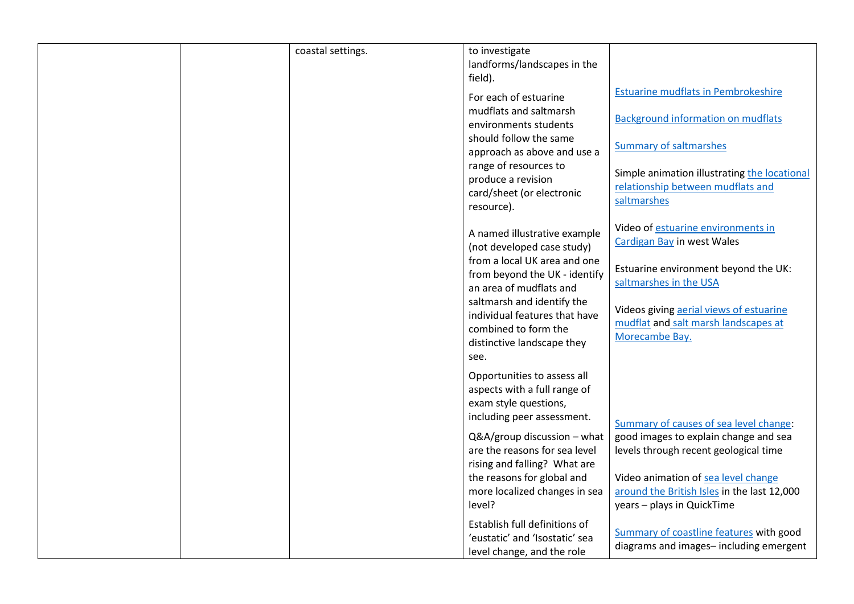| coastal settings. | to investigate                                        |                                              |
|-------------------|-------------------------------------------------------|----------------------------------------------|
|                   | landforms/landscapes in the                           |                                              |
|                   | field).                                               |                                              |
|                   | For each of estuarine                                 | <b>Estuarine mudflats in Pembrokeshire</b>   |
|                   | mudflats and saltmarsh                                |                                              |
|                   | environments students                                 | <b>Background information on mudflats</b>    |
|                   | should follow the same                                |                                              |
|                   | approach as above and use a                           | <b>Summary of saltmarshes</b>                |
|                   | range of resources to                                 |                                              |
|                   | produce a revision                                    | Simple animation illustrating the locational |
|                   | card/sheet (or electronic                             | relationship between mudflats and            |
|                   | resource).                                            | saltmarshes                                  |
|                   |                                                       | Video of estuarine environments in           |
|                   | A named illustrative example                          | Cardigan Bay in west Wales                   |
|                   | (not developed case study)                            |                                              |
|                   | from a local UK area and one                          | Estuarine environment beyond the UK:         |
|                   | from beyond the UK - identify                         | saltmarshes in the USA                       |
|                   | an area of mudflats and                               |                                              |
|                   | saltmarsh and identify the                            | Videos giving aerial views of estuarine      |
|                   | individual features that have<br>combined to form the | mudflat and salt marsh landscapes at         |
|                   |                                                       | Morecambe Bay.                               |
|                   | distinctive landscape they                            |                                              |
|                   | see.                                                  |                                              |
|                   | Opportunities to assess all                           |                                              |
|                   | aspects with a full range of                          |                                              |
|                   | exam style questions,                                 |                                              |
|                   | including peer assessment.                            | Summary of causes of sea level change:       |
|                   | Q&A/group discussion - what                           | good images to explain change and sea        |
|                   | are the reasons for sea level                         | levels through recent geological time        |
|                   | rising and falling? What are                          |                                              |
|                   | the reasons for global and                            | Video animation of sea level change          |
|                   | more localized changes in sea                         | around the British Isles in the last 12,000  |
|                   | level?                                                | years - plays in QuickTime                   |
|                   | Establish full definitions of                         |                                              |
|                   | 'eustatic' and 'Isostatic' sea                        | Summary of coastline features with good      |
|                   | level change, and the role                            | diagrams and images-including emergent       |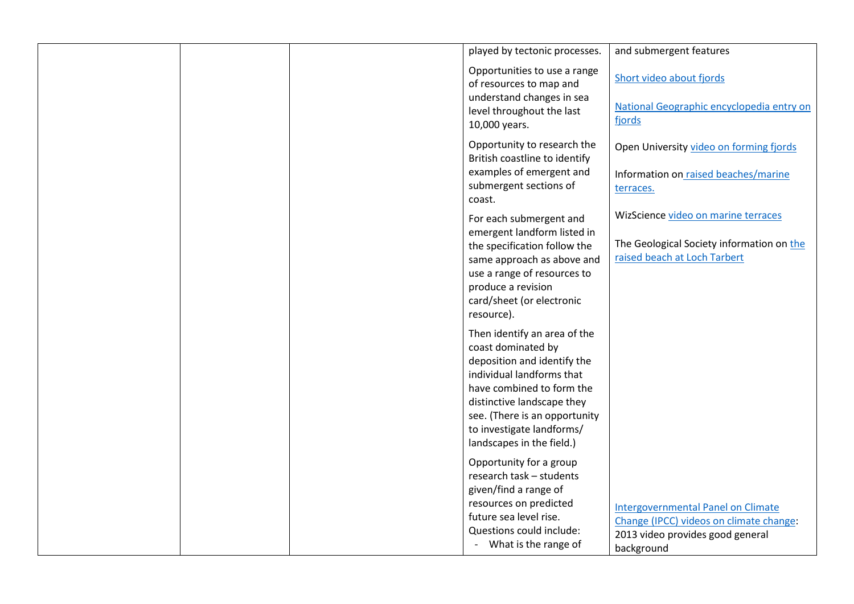| played by tectonic processes.                                                                                                                                                                                                                                        | and submergent features                                                                                                                |
|----------------------------------------------------------------------------------------------------------------------------------------------------------------------------------------------------------------------------------------------------------------------|----------------------------------------------------------------------------------------------------------------------------------------|
| Opportunities to use a range<br>of resources to map and<br>understand changes in sea<br>level throughout the last<br>10,000 years.                                                                                                                                   | Short video about fjords<br>National Geographic encyclopedia entry on<br>fjords                                                        |
| Opportunity to research the<br>British coastline to identify<br>examples of emergent and<br>submergent sections of<br>coast.                                                                                                                                         | Open University video on forming fjords<br>Information on raised beaches/marine<br>terraces.                                           |
| For each submergent and<br>emergent landform listed in<br>the specification follow the<br>same approach as above and<br>use a range of resources to<br>produce a revision<br>card/sheet (or electronic<br>resource).                                                 | WizScience video on marine terraces<br>The Geological Society information on the<br>raised beach at Loch Tarbert                       |
| Then identify an area of the<br>coast dominated by<br>deposition and identify the<br>individual landforms that<br>have combined to form the<br>distinctive landscape they<br>see. (There is an opportunity<br>to investigate landforms/<br>landscapes in the field.) |                                                                                                                                        |
| Opportunity for a group<br>research task - students<br>given/find a range of<br>resources on predicted<br>future sea level rise.<br>Questions could include:<br>- What is the range of                                                                               | <b>Intergovernmental Panel on Climate</b><br>Change (IPCC) videos on climate change:<br>2013 video provides good general<br>background |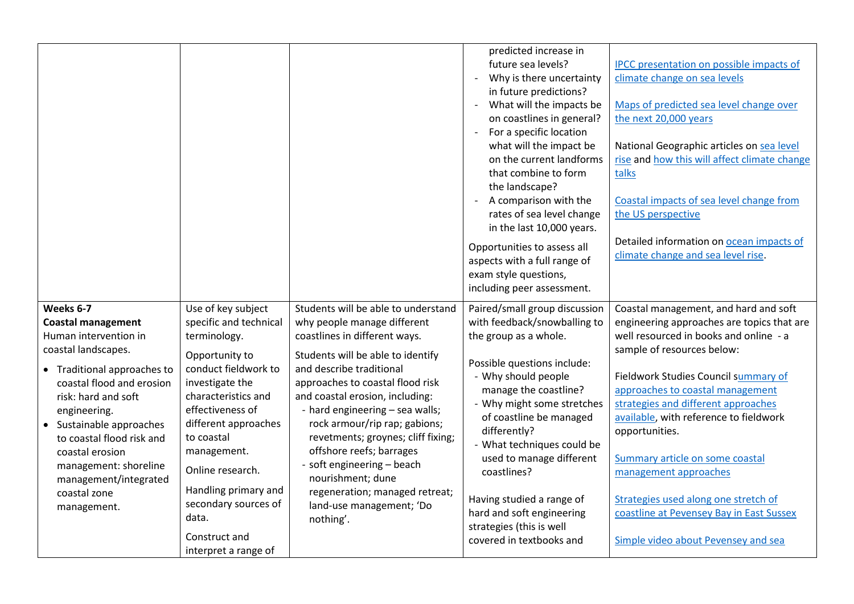|                                                                                                                                                                                                                                                                                                                                                        |                                                                                                                                                                                                                                                                                                                                                 |                                                                                                                                                                                                                                                                                                                                                                                                                                                                                                                 | predicted increase in<br>future sea levels?<br>Why is there uncertainty<br>in future predictions?<br>What will the impacts be<br>$\overline{\phantom{a}}$<br>on coastlines in general?<br>For a specific location<br>$\blacksquare$<br>what will the impact be<br>on the current landforms<br>that combine to form<br>the landscape?<br>A comparison with the<br>$\overline{\phantom{a}}$<br>rates of sea level change<br>in the last 10,000 years.<br>Opportunities to assess all<br>aspects with a full range of<br>exam style questions,<br>including peer assessment. | <b>IPCC</b> presentation on possible impacts of<br>climate change on sea levels<br>Maps of predicted sea level change over<br>the next 20,000 years<br>National Geographic articles on sea level<br>rise and how this will affect climate change<br>talks<br>Coastal impacts of sea level change from<br>the US perspective<br>Detailed information on ocean impacts of<br>climate change and sea level rise.                                                                                                                     |
|--------------------------------------------------------------------------------------------------------------------------------------------------------------------------------------------------------------------------------------------------------------------------------------------------------------------------------------------------------|-------------------------------------------------------------------------------------------------------------------------------------------------------------------------------------------------------------------------------------------------------------------------------------------------------------------------------------------------|-----------------------------------------------------------------------------------------------------------------------------------------------------------------------------------------------------------------------------------------------------------------------------------------------------------------------------------------------------------------------------------------------------------------------------------------------------------------------------------------------------------------|---------------------------------------------------------------------------------------------------------------------------------------------------------------------------------------------------------------------------------------------------------------------------------------------------------------------------------------------------------------------------------------------------------------------------------------------------------------------------------------------------------------------------------------------------------------------------|-----------------------------------------------------------------------------------------------------------------------------------------------------------------------------------------------------------------------------------------------------------------------------------------------------------------------------------------------------------------------------------------------------------------------------------------------------------------------------------------------------------------------------------|
| Weeks 6-7<br><b>Coastal management</b><br>Human intervention in<br>coastal landscapes.<br>• Traditional approaches to<br>coastal flood and erosion<br>risk: hard and soft<br>engineering.<br>• Sustainable approaches<br>to coastal flood risk and<br>coastal erosion<br>management: shoreline<br>management/integrated<br>coastal zone<br>management. | Use of key subject<br>specific and technical<br>terminology.<br>Opportunity to<br>conduct fieldwork to<br>investigate the<br>characteristics and<br>effectiveness of<br>different approaches<br>to coastal<br>management.<br>Online research.<br>Handling primary and<br>secondary sources of<br>data.<br>Construct and<br>interpret a range of | Students will be able to understand<br>why people manage different<br>coastlines in different ways.<br>Students will be able to identify<br>and describe traditional<br>approaches to coastal flood risk<br>and coastal erosion, including:<br>- hard engineering - sea walls;<br>rock armour/rip rap; gabions;<br>revetments; groynes; cliff fixing;<br>offshore reefs; barrages<br>- soft engineering - beach<br>nourishment; dune<br>regeneration; managed retreat;<br>land-use management; 'Do<br>nothing'. | Paired/small group discussion<br>with feedback/snowballing to<br>the group as a whole.<br>Possible questions include:<br>- Why should people<br>manage the coastline?<br>- Why might some stretches<br>of coastline be managed<br>differently?<br>- What techniques could be<br>used to manage different<br>coastlines?<br>Having studied a range of<br>hard and soft engineering<br>strategies (this is well<br>covered in textbooks and                                                                                                                                 | Coastal management, and hard and soft<br>engineering approaches are topics that are<br>well resourced in books and online - a<br>sample of resources below:<br>Fieldwork Studies Council summary of<br>approaches to coastal management<br>strategies and different approaches<br>available, with reference to fieldwork<br>opportunities.<br>Summary article on some coastal<br>management approaches<br>Strategies used along one stretch of<br>coastline at Pevensey Bay in East Sussex<br>Simple video about Pevensey and sea |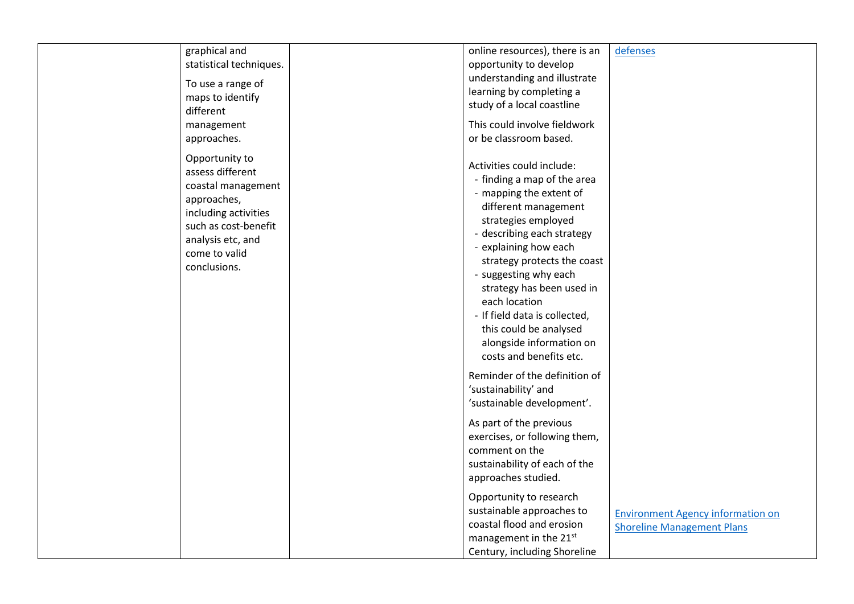| graphical and<br>statistical techniques.<br>To use a range of<br>maps to identify<br>different<br>management<br>approaches.                                                   | online resources), there is an<br>opportunity to develop<br>understanding and illustrate<br>learning by completing a<br>study of a local coastline<br>This could involve fieldwork<br>or be classroom based.                                                                                                                                                                                                                                                                                                                                                                                                                                                                                                                        | defenses                                                                      |
|-------------------------------------------------------------------------------------------------------------------------------------------------------------------------------|-------------------------------------------------------------------------------------------------------------------------------------------------------------------------------------------------------------------------------------------------------------------------------------------------------------------------------------------------------------------------------------------------------------------------------------------------------------------------------------------------------------------------------------------------------------------------------------------------------------------------------------------------------------------------------------------------------------------------------------|-------------------------------------------------------------------------------|
| Opportunity to<br>assess different<br>coastal management<br>approaches,<br>including activities<br>such as cost-benefit<br>analysis etc, and<br>come to valid<br>conclusions. | Activities could include:<br>- finding a map of the area<br>- mapping the extent of<br>different management<br>strategies employed<br>- describing each strategy<br>- explaining how each<br>strategy protects the coast<br>- suggesting why each<br>strategy has been used in<br>each location<br>- If field data is collected,<br>this could be analysed<br>alongside information on<br>costs and benefits etc.<br>Reminder of the definition of<br>'sustainability' and<br>'sustainable development'.<br>As part of the previous<br>exercises, or following them,<br>comment on the<br>sustainability of each of the<br>approaches studied.<br>Opportunity to research<br>sustainable approaches to<br>coastal flood and erosion | <b>Environment Agency information on</b><br><b>Shoreline Management Plans</b> |
|                                                                                                                                                                               | management in the 21st<br>Century, including Shoreline                                                                                                                                                                                                                                                                                                                                                                                                                                                                                                                                                                                                                                                                              |                                                                               |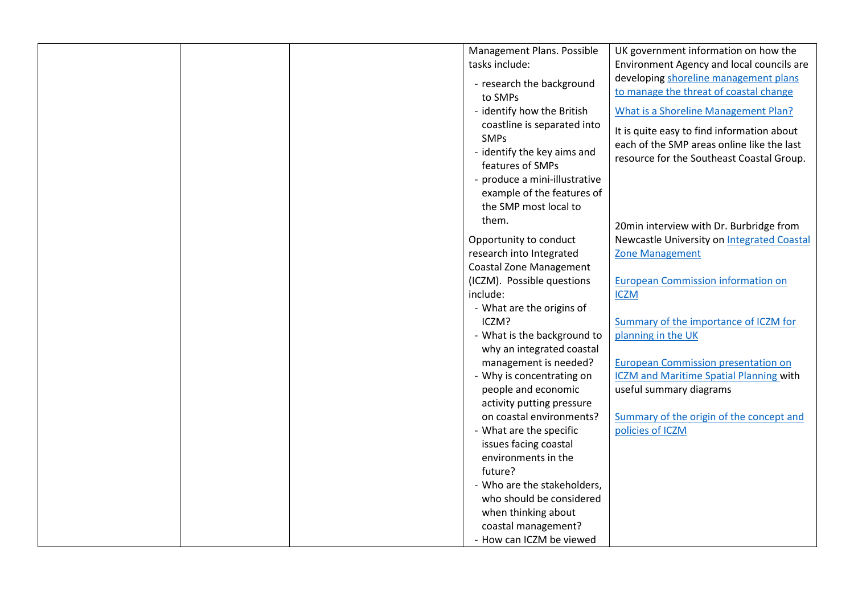| Management Plans. Possible     | UK government information on how the           |
|--------------------------------|------------------------------------------------|
| tasks include:                 | Environment Agency and local councils are      |
| - research the background      | developing shoreline management plans          |
| to SMPs                        | to manage the threat of coastal change         |
| - identify how the British     | What is a Shoreline Management Plan?           |
| coastline is separated into    | It is quite easy to find information about     |
| <b>SMPs</b>                    | each of the SMP areas online like the last     |
| - identify the key aims and    | resource for the Southeast Coastal Group.      |
| features of SMPs               |                                                |
| - produce a mini-illustrative  |                                                |
| example of the features of     |                                                |
| the SMP most local to          |                                                |
| them.                          | 20min interview with Dr. Burbridge from        |
| Opportunity to conduct         | Newcastle University on Integrated Coastal     |
| research into Integrated       | <b>Zone Management</b>                         |
| <b>Coastal Zone Management</b> |                                                |
| (ICZM). Possible questions     | <b>European Commission information on</b>      |
| include:                       | <b>ICZM</b>                                    |
| - What are the origins of      |                                                |
| ICZM?                          | Summary of the importance of ICZM for          |
| - What is the background to    | planning in the UK                             |
| why an integrated coastal      |                                                |
| management is needed?          | <b>European Commission presentation on</b>     |
| - Why is concentrating on      | <b>ICZM</b> and Maritime Spatial Planning with |
| people and economic            | useful summary diagrams                        |
| activity putting pressure      |                                                |
| on coastal environments?       | Summary of the origin of the concept and       |
| - What are the specific        | policies of ICZM                               |
| issues facing coastal          |                                                |
| environments in the            |                                                |
| future?                        |                                                |
| - Who are the stakeholders,    |                                                |
| who should be considered       |                                                |
| when thinking about            |                                                |
| coastal management?            |                                                |
| - How can ICZM be viewed       |                                                |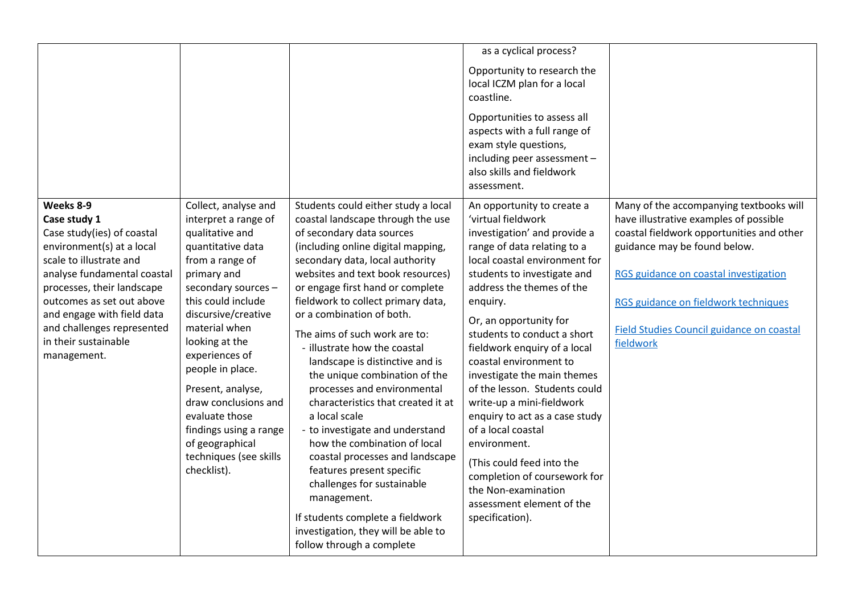|                                                                                                                                                                                                                                                                                                              |                                                                                                                                                                                                                                                                                                                                                                                                                          |                                                                                                                                                                                                                                                                                                                                                                                                                                                                                                                                                                                                                                                                                                                                                                                                                                               | as a cyclical process?                                                                                                                                                                                                                                                                                                                                                                                                                                                                                                                                                                                                                               |                                                                                                                                                                                                                                                                                                                  |
|--------------------------------------------------------------------------------------------------------------------------------------------------------------------------------------------------------------------------------------------------------------------------------------------------------------|--------------------------------------------------------------------------------------------------------------------------------------------------------------------------------------------------------------------------------------------------------------------------------------------------------------------------------------------------------------------------------------------------------------------------|-----------------------------------------------------------------------------------------------------------------------------------------------------------------------------------------------------------------------------------------------------------------------------------------------------------------------------------------------------------------------------------------------------------------------------------------------------------------------------------------------------------------------------------------------------------------------------------------------------------------------------------------------------------------------------------------------------------------------------------------------------------------------------------------------------------------------------------------------|------------------------------------------------------------------------------------------------------------------------------------------------------------------------------------------------------------------------------------------------------------------------------------------------------------------------------------------------------------------------------------------------------------------------------------------------------------------------------------------------------------------------------------------------------------------------------------------------------------------------------------------------------|------------------------------------------------------------------------------------------------------------------------------------------------------------------------------------------------------------------------------------------------------------------------------------------------------------------|
|                                                                                                                                                                                                                                                                                                              |                                                                                                                                                                                                                                                                                                                                                                                                                          |                                                                                                                                                                                                                                                                                                                                                                                                                                                                                                                                                                                                                                                                                                                                                                                                                                               | Opportunity to research the<br>local ICZM plan for a local<br>coastline.                                                                                                                                                                                                                                                                                                                                                                                                                                                                                                                                                                             |                                                                                                                                                                                                                                                                                                                  |
|                                                                                                                                                                                                                                                                                                              |                                                                                                                                                                                                                                                                                                                                                                                                                          |                                                                                                                                                                                                                                                                                                                                                                                                                                                                                                                                                                                                                                                                                                                                                                                                                                               | Opportunities to assess all<br>aspects with a full range of<br>exam style questions,<br>including peer assessment -<br>also skills and fieldwork<br>assessment.                                                                                                                                                                                                                                                                                                                                                                                                                                                                                      |                                                                                                                                                                                                                                                                                                                  |
| Weeks 8-9<br>Case study 1<br>Case study(ies) of coastal<br>environment(s) at a local<br>scale to illustrate and<br>analyse fundamental coastal<br>processes, their landscape<br>outcomes as set out above<br>and engage with field data<br>and challenges represented<br>in their sustainable<br>management. | Collect, analyse and<br>interpret a range of<br>qualitative and<br>quantitative data<br>from a range of<br>primary and<br>secondary sources -<br>this could include<br>discursive/creative<br>material when<br>looking at the<br>experiences of<br>people in place.<br>Present, analyse,<br>draw conclusions and<br>evaluate those<br>findings using a range<br>of geographical<br>techniques (see skills<br>checklist). | Students could either study a local<br>coastal landscape through the use<br>of secondary data sources<br>(including online digital mapping,<br>secondary data, local authority<br>websites and text book resources)<br>or engage first hand or complete<br>fieldwork to collect primary data,<br>or a combination of both.<br>The aims of such work are to:<br>- illustrate how the coastal<br>landscape is distinctive and is<br>the unique combination of the<br>processes and environmental<br>characteristics that created it at<br>a local scale<br>- to investigate and understand<br>how the combination of local<br>coastal processes and landscape<br>features present specific<br>challenges for sustainable<br>management.<br>If students complete a fieldwork<br>investigation, they will be able to<br>follow through a complete | An opportunity to create a<br>'virtual fieldwork<br>investigation' and provide a<br>range of data relating to a<br>local coastal environment for<br>students to investigate and<br>address the themes of the<br>enquiry.<br>Or, an opportunity for<br>students to conduct a short<br>fieldwork enquiry of a local<br>coastal environment to<br>investigate the main themes<br>of the lesson. Students could<br>write-up a mini-fieldwork<br>enquiry to act as a case study<br>of a local coastal<br>environment.<br>(This could feed into the<br>completion of coursework for<br>the Non-examination<br>assessment element of the<br>specification). | Many of the accompanying textbooks will<br>have illustrative examples of possible<br>coastal fieldwork opportunities and other<br>guidance may be found below.<br>RGS guidance on coastal investigation<br>RGS guidance on fieldwork techniques<br><b>Field Studies Council guidance on coastal</b><br>fieldwork |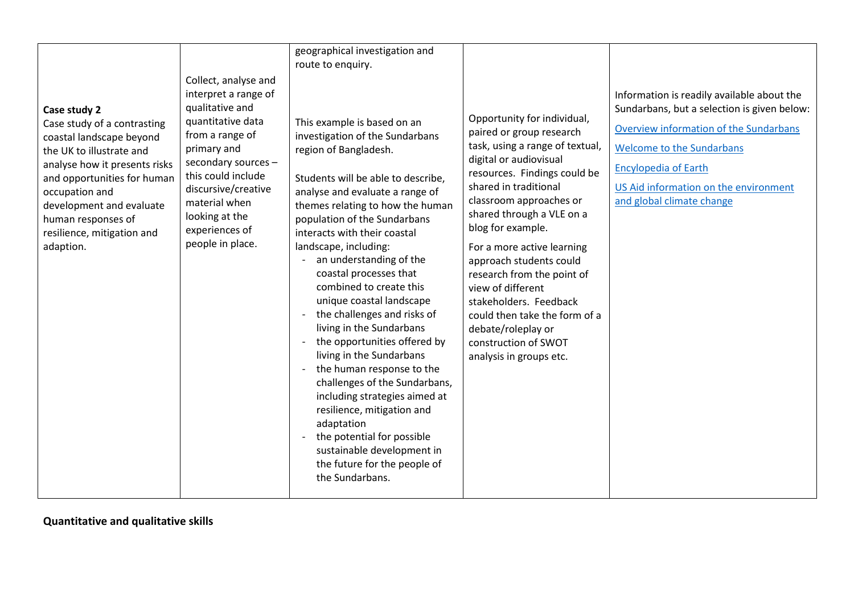| Case study 2<br>Case study of a contrasting<br>coastal landscape beyond<br>the UK to illustrate and<br>analyse how it presents risks<br>and opportunities for human<br>occupation and<br>development and evaluate<br>human responses of<br>resilience, mitigation and<br>adaption. | Collect, analyse and<br>interpret a range of<br>qualitative and<br>quantitative data<br>from a range of<br>primary and<br>secondary sources -<br>this could include<br>discursive/creative<br>material when<br>looking at the<br>experiences of<br>people in place. | geographical investigation and<br>route to enquiry.<br>This example is based on an<br>investigation of the Sundarbans<br>region of Bangladesh.<br>Students will be able to describe,<br>analyse and evaluate a range of<br>themes relating to how the human<br>population of the Sundarbans<br>interacts with their coastal<br>landscape, including:<br>an understanding of the<br>coastal processes that<br>combined to create this<br>unique coastal landscape<br>the challenges and risks of<br>living in the Sundarbans<br>the opportunities offered by<br>living in the Sundarbans<br>the human response to the<br>challenges of the Sundarbans,<br>including strategies aimed at<br>resilience, mitigation and<br>adaptation<br>the potential for possible<br>sustainable development in | Opportunity for individual,<br>paired or group research<br>task, using a range of textual,<br>digital or audiovisual<br>resources. Findings could be<br>shared in traditional<br>classroom approaches or<br>shared through a VLE on a<br>blog for example.<br>For a more active learning<br>approach students could<br>research from the point of<br>view of different<br>stakeholders. Feedback<br>could then take the form of a<br>debate/roleplay or<br>construction of SWOT<br>analysis in groups etc. | Information is readily available about the<br>Sundarbans, but a selection is given below:<br>Overview information of the Sundarbans<br>Welcome to the Sundarbans<br><b>Encylopedia of Earth</b><br>US Aid information on the environment<br>and global climate change |
|------------------------------------------------------------------------------------------------------------------------------------------------------------------------------------------------------------------------------------------------------------------------------------|---------------------------------------------------------------------------------------------------------------------------------------------------------------------------------------------------------------------------------------------------------------------|------------------------------------------------------------------------------------------------------------------------------------------------------------------------------------------------------------------------------------------------------------------------------------------------------------------------------------------------------------------------------------------------------------------------------------------------------------------------------------------------------------------------------------------------------------------------------------------------------------------------------------------------------------------------------------------------------------------------------------------------------------------------------------------------|------------------------------------------------------------------------------------------------------------------------------------------------------------------------------------------------------------------------------------------------------------------------------------------------------------------------------------------------------------------------------------------------------------------------------------------------------------------------------------------------------------|-----------------------------------------------------------------------------------------------------------------------------------------------------------------------------------------------------------------------------------------------------------------------|
|                                                                                                                                                                                                                                                                                    |                                                                                                                                                                                                                                                                     | the future for the people of<br>the Sundarbans.                                                                                                                                                                                                                                                                                                                                                                                                                                                                                                                                                                                                                                                                                                                                                |                                                                                                                                                                                                                                                                                                                                                                                                                                                                                                            |                                                                                                                                                                                                                                                                       |